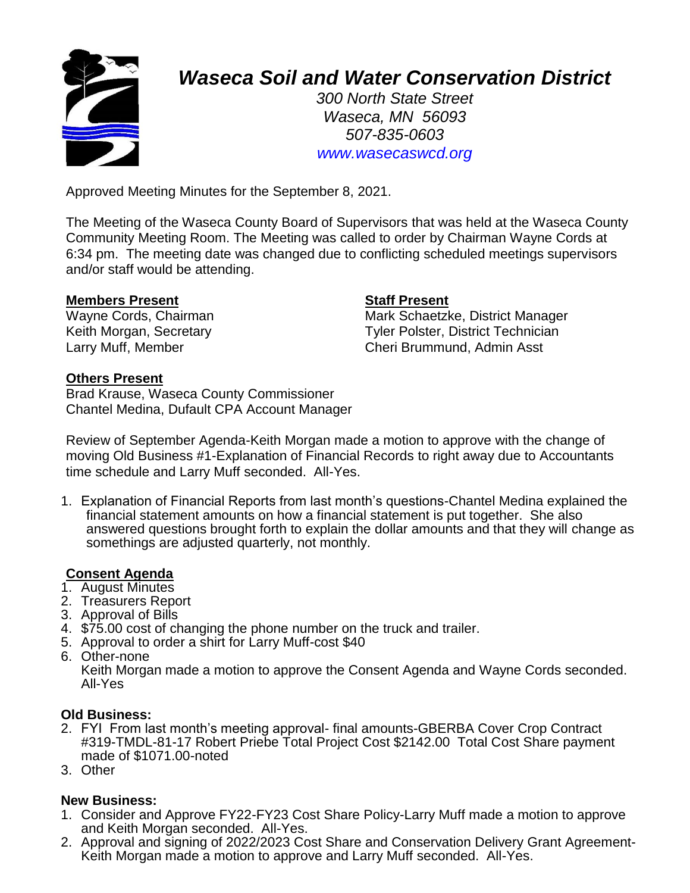

# *Waseca Soil and Water Conservation District*

*300 North State Street Waseca, MN 56093 507-835-0603 www.wasecaswcd.org*

Approved Meeting Minutes for the September 8, 2021.

The Meeting of the Waseca County Board of Supervisors that was held at the Waseca County Community Meeting Room. The Meeting was called to order by Chairman Wayne Cords at 6:34 pm. The meeting date was changed due to conflicting scheduled meetings supervisors and/or staff would be attending.

#### **Members Present Staff Present**

Wayne Cords, Chairman Mark Schaetzke, District Manager Keith Morgan, Secretary **Tyler Polster, District Technician** Larry Muff, Member Cheri Brummund, Admin Asst

#### **Others Present**

Brad Krause, Waseca County Commissioner Chantel Medina, Dufault CPA Account Manager

Review of September Agenda-Keith Morgan made a motion to approve with the change of moving Old Business #1-Explanation of Financial Records to right away due to Accountants time schedule and Larry Muff seconded. All-Yes.

1. Explanation of Financial Reports from last month's questions-Chantel Medina explained the financial statement amounts on how a financial statement is put together. She also answered questions brought forth to explain the dollar amounts and that they will change as somethings are adjusted quarterly, not monthly.

### **Consent Agenda**

- 1. August Minutes
- 2. Treasurers Report
- 3. Approval of Bills
- 4. \$75.00 cost of changing the phone number on the truck and trailer.
- 5. Approval to order a shirt for Larry Muff-cost \$40
- 6. Other-none

Keith Morgan made a motion to approve the Consent Agenda and Wayne Cords seconded. All-Yes

#### **Old Business:**

- 2. FYI From last month's meeting approval- final amounts-GBERBA Cover Crop Contract #319-TMDL-81-17 Robert Priebe Total Project Cost \$2142.00 Total Cost Share payment made of \$1071.00-noted
- 3. Other

### **New Business:**

- 1. Consider and Approve FY22-FY23 Cost Share Policy-Larry Muff made a motion to approve and Keith Morgan seconded. All-Yes.
- 2. Approval and signing of 2022/2023 Cost Share and Conservation Delivery Grant Agreement-Keith Morgan made a motion to approve and Larry Muff seconded. All-Yes.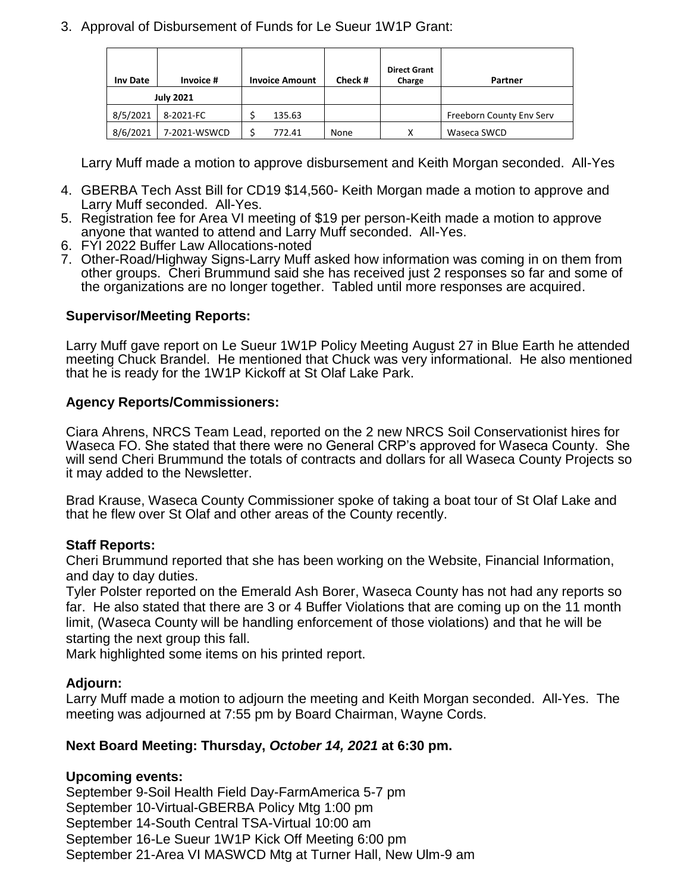3. Approval of Disbursement of Funds for Le Sueur 1W1P Grant:

| <b>Inv Date</b>  | Invoice #    | <b>Invoice Amount</b> | Check # | <b>Direct Grant</b><br>Charge | Partner                  |
|------------------|--------------|-----------------------|---------|-------------------------------|--------------------------|
| <b>July 2021</b> |              |                       |         |                               |                          |
| 8/5/2021         | 8-2021-FC    | 135.63                |         |                               | Freeborn County Env Serv |
| 8/6/2021         | 7-2021-WSWCD | 772.41                | None    | х                             | Waseca SWCD              |

Larry Muff made a motion to approve disbursement and Keith Morgan seconded. All-Yes

- 4. GBERBA Tech Asst Bill for CD19 \$14,560- Keith Morgan made a motion to approve and Larry Muff seconded. All-Yes.
- 5. Registration fee for Area VI meeting of \$19 per person-Keith made a motion to approve anyone that wanted to attend and Larry Muff seconded. All-Yes.
- 6. FYI 2022 Buffer Law Allocations-noted
- 7. Other-Road/Highway Signs-Larry Muff asked how information was coming in on them from other groups. Cheri Brummund said she has received just 2 responses so far and some of the organizations are no longer together. Tabled until more responses are acquired.

### **Supervisor/Meeting Reports:**

Larry Muff gave report on Le Sueur 1W1P Policy Meeting August 27 in Blue Earth he attended meeting Chuck Brandel. He mentioned that Chuck was very informational. He also mentioned that he is ready for the 1W1P Kickoff at St Olaf Lake Park.

#### **Agency Reports/Commissioners:**

Ciara Ahrens, NRCS Team Lead, reported on the 2 new NRCS Soil Conservationist hires for Waseca FO. She stated that there were no General CRP's approved for Waseca County. She will send Cheri Brummund the totals of contracts and dollars for all Waseca County Projects so it may added to the Newsletter.

Brad Krause, Waseca County Commissioner spoke of taking a boat tour of St Olaf Lake and that he flew over St Olaf and other areas of the County recently.

### **Staff Reports:**

Cheri Brummund reported that she has been working on the Website, Financial Information, and day to day duties.

Tyler Polster reported on the Emerald Ash Borer, Waseca County has not had any reports so far. He also stated that there are 3 or 4 Buffer Violations that are coming up on the 11 month limit, (Waseca County will be handling enforcement of those violations) and that he will be starting the next group this fall.

Mark highlighted some items on his printed report.

### **Adjourn:**

Larry Muff made a motion to adjourn the meeting and Keith Morgan seconded. All-Yes. The meeting was adjourned at 7:55 pm by Board Chairman, Wayne Cords.

### **Next Board Meeting: Thursday,** *October 14, 2021* **at 6:30 pm.**

### **Upcoming events:**

September 9-Soil Health Field Day-FarmAmerica 5-7 pm September 10-Virtual-GBERBA Policy Mtg 1:00 pm September 14-South Central TSA-Virtual 10:00 am September 16-Le Sueur 1W1P Kick Off Meeting 6:00 pm September 21-Area VI MASWCD Mtg at Turner Hall, New Ulm-9 am